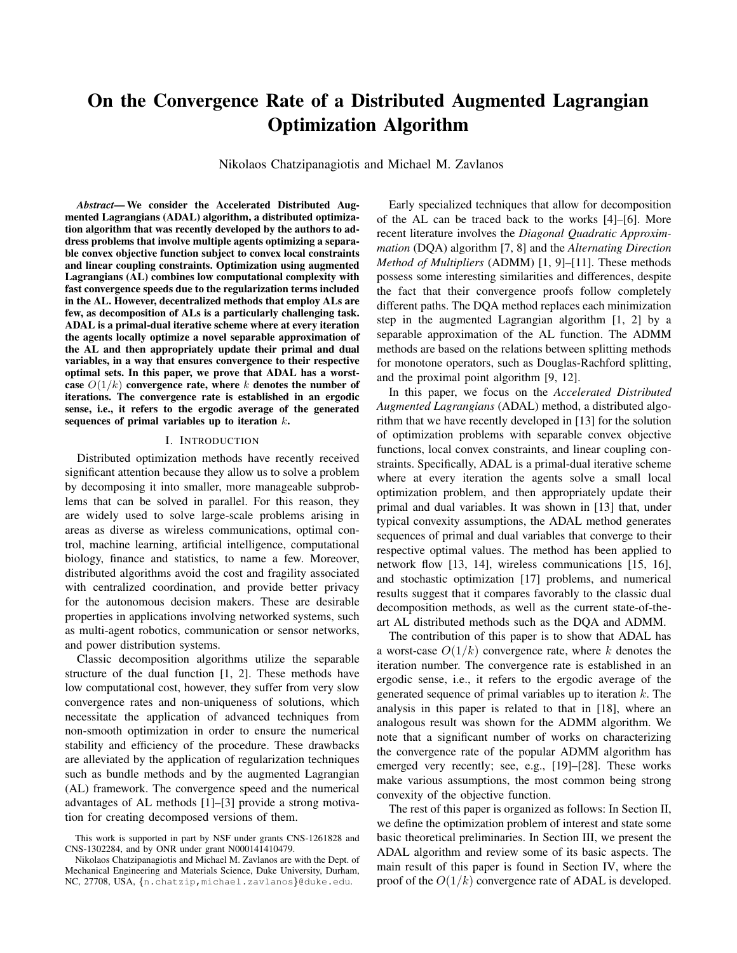# On the Convergence Rate of a Distributed Augmented Lagrangian Optimization Algorithm

Nikolaos Chatzipanagiotis and Michael M. Zavlanos

*Abstract*— We consider the Accelerated Distributed Augmented Lagrangians (ADAL) algorithm, a distributed optimization algorithm that was recently developed by the authors to address problems that involve multiple agents optimizing a separable convex objective function subject to convex local constraints and linear coupling constraints. Optimization using augmented Lagrangians (AL) combines low computational complexity with fast convergence speeds due to the regularization terms included in the AL. However, decentralized methods that employ ALs are few, as decomposition of ALs is a particularly challenging task. ADAL is a primal-dual iterative scheme where at every iteration the agents locally optimize a novel separable approximation of the AL and then appropriately update their primal and dual variables, in a way that ensures convergence to their respective optimal sets. In this paper, we prove that ADAL has a worstcase  $O(1/k)$  convergence rate, where k denotes the number of iterations. The convergence rate is established in an ergodic sense, i.e., it refers to the ergodic average of the generated sequences of primal variables up to iteration  $k$ .

## I. INTRODUCTION

Distributed optimization methods have recently received significant attention because they allow us to solve a problem by decomposing it into smaller, more manageable subproblems that can be solved in parallel. For this reason, they are widely used to solve large-scale problems arising in areas as diverse as wireless communications, optimal control, machine learning, artificial intelligence, computational biology, finance and statistics, to name a few. Moreover, distributed algorithms avoid the cost and fragility associated with centralized coordination, and provide better privacy for the autonomous decision makers. These are desirable properties in applications involving networked systems, such as multi-agent robotics, communication or sensor networks, and power distribution systems.

Classic decomposition algorithms utilize the separable structure of the dual function [1, 2]. These methods have low computational cost, however, they suffer from very slow convergence rates and non-uniqueness of solutions, which necessitate the application of advanced techniques from non-smooth optimization in order to ensure the numerical stability and efficiency of the procedure. These drawbacks are alleviated by the application of regularization techniques such as bundle methods and by the augmented Lagrangian (AL) framework. The convergence speed and the numerical advantages of AL methods [1]–[3] provide a strong motivation for creating decomposed versions of them.

Early specialized techniques that allow for decomposition of the AL can be traced back to the works [4]–[6]. More recent literature involves the *Diagonal Quadratic Approximmation* (DQA) algorithm [7, 8] and the *Alternating Direction Method of Multipliers* (ADMM) [1, 9]–[11]. These methods possess some interesting similarities and differences, despite the fact that their convergence proofs follow completely different paths. The DQA method replaces each minimization step in the augmented Lagrangian algorithm [1, 2] by a separable approximation of the AL function. The ADMM methods are based on the relations between splitting methods for monotone operators, such as Douglas-Rachford splitting, and the proximal point algorithm [9, 12].

In this paper, we focus on the *Accelerated Distributed Augmented Lagrangians* (ADAL) method, a distributed algorithm that we have recently developed in [13] for the solution of optimization problems with separable convex objective functions, local convex constraints, and linear coupling constraints. Specifically, ADAL is a primal-dual iterative scheme where at every iteration the agents solve a small local optimization problem, and then appropriately update their primal and dual variables. It was shown in [13] that, under typical convexity assumptions, the ADAL method generates sequences of primal and dual variables that converge to their respective optimal values. The method has been applied to network flow [13, 14], wireless communications [15, 16], and stochastic optimization [17] problems, and numerical results suggest that it compares favorably to the classic dual decomposition methods, as well as the current state-of-theart AL distributed methods such as the DQA and ADMM.

The contribution of this paper is to show that ADAL has a worst-case  $O(1/k)$  convergence rate, where k denotes the iteration number. The convergence rate is established in an ergodic sense, i.e., it refers to the ergodic average of the generated sequence of primal variables up to iteration  $k$ . The analysis in this paper is related to that in [18], where an analogous result was shown for the ADMM algorithm. We note that a significant number of works on characterizing the convergence rate of the popular ADMM algorithm has emerged very recently; see, e.g., [19]–[28]. These works make various assumptions, the most common being strong convexity of the objective function.

The rest of this paper is organized as follows: In Section II, we define the optimization problem of interest and state some basic theoretical preliminaries. In Section III, we present the ADAL algorithm and review some of its basic aspects. The main result of this paper is found in Section IV, where the proof of the  $O(1/k)$  convergence rate of ADAL is developed.

This work is supported in part by NSF under grants CNS-1261828 and CNS-1302284, and by ONR under grant N000141410479.

Nikolaos Chatzipanagiotis and Michael M. Zavlanos are with the Dept. of Mechanical Engineering and Materials Science, Duke University, Durham, NC, 27708, USA, {n.chatzip,michael.zavlanos}@duke.edu.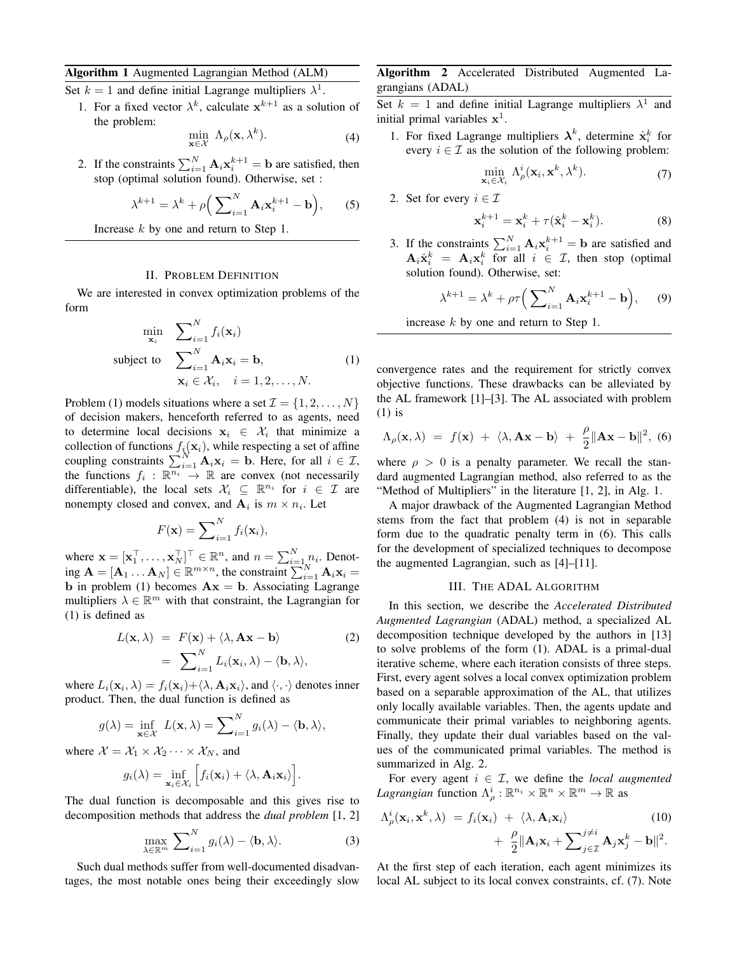## Algorithm 1 Augmented Lagrangian Method (ALM)

Set  $k = 1$  and define initial Lagrange multipliers  $\lambda^1$ .

1. For a fixed vector  $\lambda^k$ , calculate  $x^{k+1}$  as a solution of the problem:

$$
\min_{\mathbf{x} \in \mathcal{X}} \Lambda_{\rho}(\mathbf{x}, \lambda^k). \tag{4}
$$

2. If the constraints  $\sum_{i=1}^{N} \mathbf{A}_i \mathbf{x}_i^{k+1} = \mathbf{b}$  are satisfied, then stop (optimal solution found). Otherwise, set :

$$
\lambda^{k+1} = \lambda^k + \rho \Big( \sum_{i=1}^N \mathbf{A}_i \mathbf{x}_i^{k+1} - \mathbf{b} \Big), \qquad (5)
$$

Increase k by one and return to Step 1.

## II. PROBLEM DEFINITION

We are interested in convex optimization problems of the form

$$
\min_{\mathbf{x}_i} \sum_{i=1}^N f_i(\mathbf{x}_i)
$$
\n
$$
\text{subject to } \sum_{i=1}^N \mathbf{A}_i \mathbf{x}_i = \mathbf{b},
$$
\n
$$
\mathbf{x}_i \in \mathcal{X}_i, \quad i = 1, 2, \dots, N.
$$
\n
$$
(1)
$$

Problem (1) models situations where a set  $\mathcal{I} = \{1, 2, \ldots, N\}$ of decision makers, henceforth referred to as agents, need to determine local decisions  $x_i \in \mathcal{X}_i$  that minimize a collection of functions  $f_i(\mathbf{x}_i)$ , while respecting a set of affine coupling constraints  $\sum_{i=1}^{N} \mathbf{A}_i \mathbf{x}_i = \mathbf{b}$ . Here, for all  $i \in \mathcal{I}$ , the functions  $f_i: \mathbb{R}^n \to \mathbb{R}$  are convex (not necessarily differentiable), the local sets  $\mathcal{X}_i \subseteq \mathbb{R}^{n_i}$  for  $i \in \mathcal{I}$  are nonempty closed and convex, and  $A_i$  is  $m \times n_i$ . Let

$$
F(\mathbf{x}) = \sum_{i=1}^{N} f_i(\mathbf{x}_i),
$$

where  $\mathbf{x} = [\mathbf{x}_1^\top, \dots, \mathbf{x}_N^\top]^\top \in \mathbb{R}^n$ , and  $n = \sum_{i=1}^N n_i$ . Denoting  $\mathbf{A} = [\mathbf{A}_1 \dots \mathbf{A}_N] \in \mathbb{R}^{m \times n}$ , the constraint  $\sum_{i=1}^N \mathbf{A}_i \mathbf{x}_i =$ b in problem (1) becomes  $Ax = b$ . Associating Lagrange multipliers  $\lambda \in \mathbb{R}^m$  with that constraint, the Lagrangian for (1) is defined as

$$
L(\mathbf{x}, \lambda) = F(\mathbf{x}) + \langle \lambda, \mathbf{A}\mathbf{x} - \mathbf{b} \rangle
$$
  
= 
$$
\sum_{i=1}^{N} L_i(\mathbf{x}_i, \lambda) - \langle \mathbf{b}, \lambda \rangle,
$$
 (2)

where  $L_i(\mathbf{x}_i, \lambda) = f_i(\mathbf{x}_i) + \langle \lambda, \mathbf{A}_i \mathbf{x}_i \rangle$ , and  $\langle \cdot, \cdot \rangle$  denotes inner product. Then, the dual function is defined as

$$
g(\lambda) = \inf_{\mathbf{x} \in \mathcal{X}} L(\mathbf{x}, \lambda) = \sum_{i=1}^{N} g_i(\lambda) - \langle \mathbf{b}, \lambda \rangle,
$$

where  $\mathcal{X} = \mathcal{X}_1 \times \mathcal{X}_2 \cdots \times \mathcal{X}_N$ , and

$$
g_i(\lambda) = \inf_{\mathbf{x}_i \in \mathcal{X}_i} \Big[ f_i(\mathbf{x}_i) + \langle \lambda, \mathbf{A}_i \mathbf{x}_i \rangle \Big].
$$

The dual function is decomposable and this gives rise to decomposition methods that address the *dual problem* [1, 2]

$$
\max_{\lambda \in \mathbb{R}^m} \sum_{i=1}^N g_i(\lambda) - \langle \mathbf{b}, \lambda \rangle.
$$
 (3)

Such dual methods suffer from well-documented disadvantages, the most notable ones being their exceedingly slow

# Algorithm 2 Accelerated Distributed Augmented Lagrangians (ADAL)

Set  $k = 1$  and define initial Lagrange multipliers  $\lambda^1$  and initial primal variables  $x^1$ .

1. For fixed Lagrange multipliers  $\lambda^k$ , determine  $\hat{\mathbf{x}}_i^k$  for every  $i \in \mathcal{I}$  as the solution of the following problem:

$$
\min_{\mathbf{x}_i \in \mathcal{X}_i} \Lambda^i_{\rho}(\mathbf{x}_i, \mathbf{x}^k, \lambda^k).
$$
 (7)

2. Set for every  $i \in \mathcal{I}$ 

$$
\mathbf{x}_i^{k+1} = \mathbf{x}_i^k + \tau (\hat{\mathbf{x}}_i^k - \mathbf{x}_i^k). \tag{8}
$$

3. If the constraints  $\sum_{i=1}^{N} \mathbf{A}_i \mathbf{x}_i^{k+1} = \mathbf{b}$  are satisfied and  $\mathbf{A}_i \hat{\mathbf{x}}_i^k = \mathbf{A}_i \mathbf{x}_i^k$  for all  $i \in \mathcal{I}$ , then stop (optimal solution found). Otherwise, set:

$$
\lambda^{k+1} = \lambda^k + \rho \tau \Big( \sum_{i=1}^N \mathbf{A}_i \mathbf{x}_i^{k+1} - \mathbf{b} \Big), \qquad (9)
$$

increase 
$$
k
$$
 by one and return to Step 1.

convergence rates and the requirement for strictly convex objective functions. These drawbacks can be alleviated by the AL framework [1]–[3]. The AL associated with problem (1) is

$$
\Lambda_{\rho}(\mathbf{x}, \lambda) = f(\mathbf{x}) + \langle \lambda, \mathbf{A}\mathbf{x} - \mathbf{b} \rangle + \frac{\rho}{2} ||\mathbf{A}\mathbf{x} - \mathbf{b}||^2, \tag{6}
$$

where  $\rho > 0$  is a penalty parameter. We recall the standard augmented Lagrangian method, also referred to as the "Method of Multipliers" in the literature [1, 2], in Alg. 1.

A major drawback of the Augmented Lagrangian Method stems from the fact that problem (4) is not in separable form due to the quadratic penalty term in (6). This calls for the development of specialized techniques to decompose the augmented Lagrangian, such as [4]–[11].

### III. THE ADAL ALGORITHM

In this section, we describe the *Accelerated Distributed Augmented Lagrangian* (ADAL) method, a specialized AL decomposition technique developed by the authors in [13] to solve problems of the form (1). ADAL is a primal-dual iterative scheme, where each iteration consists of three steps. First, every agent solves a local convex optimization problem based on a separable approximation of the AL, that utilizes only locally available variables. Then, the agents update and communicate their primal variables to neighboring agents. Finally, they update their dual variables based on the values of the communicated primal variables. The method is summarized in Alg. 2.

For every agent  $i \in \mathcal{I}$ , we define the *local augmented Lagrangian* function  $\Lambda_\rho^i : \mathbb{R}^{n_i} \times \mathbb{R}^n \times \mathbb{R}^m \to \mathbb{R}$  as

$$
\Lambda_{\rho}^{i}(\mathbf{x}_{i}, \mathbf{x}^{k}, \lambda) = f_{i}(\mathbf{x}_{i}) + \langle \lambda, \mathbf{A}_{i} \mathbf{x}_{i} \rangle
$$
\n
$$
+ \frac{\rho}{2} ||\mathbf{A}_{i} \mathbf{x}_{i} + \sum_{j \in \mathcal{I}}^{j \neq i} \mathbf{A}_{j} \mathbf{x}_{j}^{k} - \mathbf{b} ||^{2}.
$$
\n(10)

At the first step of each iteration, each agent minimizes its local AL subject to its local convex constraints, cf. (7). Note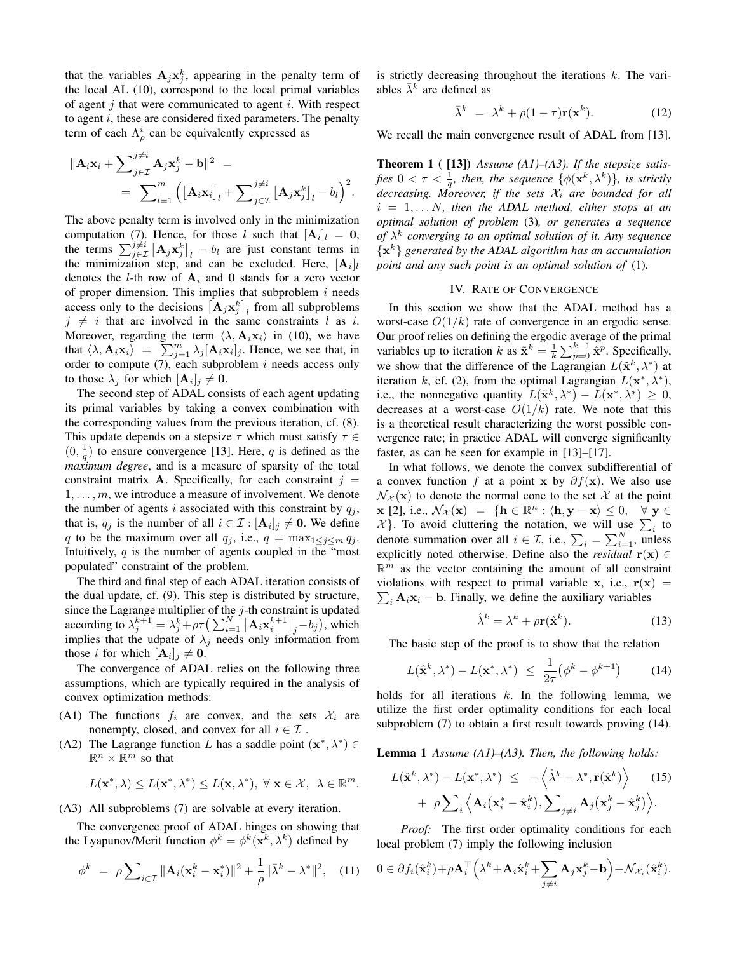that the variables  $A_j x_j^k$ , appearing in the penalty term of the local AL (10), correspond to the local primal variables of agent  $j$  that were communicated to agent  $i$ . With respect to agent  $i$ , these are considered fixed parameters. The penalty term of each  $\Lambda_{\rho}^{i}$  can be equivalently expressed as

$$
\|\mathbf{A}_i \mathbf{x}_i + \sum_{j \in \mathcal{I}}^{j \neq i} \mathbf{A}_j \mathbf{x}_j^k - \mathbf{b}\|^2 =
$$
  
= 
$$
\sum_{l=1}^m \left( [\mathbf{A}_i \mathbf{x}_i]_l + \sum_{j \in \mathcal{I}}^{j \neq i} [\mathbf{A}_j \mathbf{x}_j^k]_l - b_l \right)^2.
$$

The above penalty term is involved only in the minimization computation (7). Hence, for those l such that  $[\mathbf{A}_i]_l = \mathbf{0}$ , the terms  $\sum_{j\in\mathcal{I}}^{j\neq i} [\mathbf{A}_j \mathbf{x}_j^k]_l - b_l$  are just constant terms in the minimization step, and can be excluded. Here,  $[\mathbf{A}_i]_l$ denotes the *l*-th row of  $A_i$  and 0 stands for a zero vector of proper dimension. This implies that subproblem  $i$  needs access only to the decisions  $\left[\mathbf{A}_j \mathbf{x}_j^k\right]_l$  from all subproblems  $j \neq i$  that are involved in the same constraints l as i. Moreover, regarding the term  $\langle \lambda, \mathbf{A}_i \mathbf{x}_i \rangle$  in (10), we have that  $\langle \lambda, \mathbf{A}_i \mathbf{x}_i \rangle = \sum_{j=1}^m \lambda_j [\mathbf{A}_i \mathbf{x}_i]_j$ . Hence, we see that, in order to compute  $(7)$ , each subproblem  $i$  needs access only to those  $\lambda_j$  for which  $[\mathbf{A}_i]_j \neq \mathbf{0}$ .

The second step of ADAL consists of each agent updating its primal variables by taking a convex combination with the corresponding values from the previous iteration, cf. (8). This update depends on a stepsize  $\tau$  which must satisfy  $\tau \in$  $(0, \frac{1}{q})$  to ensure convergence [13]. Here, q is defined as the *maximum degree*, and is a measure of sparsity of the total constraint matrix **A**. Specifically, for each constraint  $j =$  $1, \ldots, m$ , we introduce a measure of involvement. We denote the number of agents i associated with this constraint by  $q_j$ , that is,  $q_j$  is the number of all  $i \in \mathcal{I} : [\mathbf{A}_i]_j \neq \mathbf{0}$ . We define q to be the maximum over all  $q_j$ , i.e.,  $q = \max_{1 \leq j \leq m} q_j$ . Intuitively,  $q$  is the number of agents coupled in the "most" populated" constraint of the problem.

The third and final step of each ADAL iteration consists of the dual update, cf. (9). This step is distributed by structure, since the Lagrange multiplier of the  $j$ -th constraint is updated according to  $\lambda_j^{k+1} = \lambda_j^k + \rho \tau \left( \sum_{i=1}^N \left[ \mathbf{A}_i \mathbf{x}_i^{k+1} \right]_j - b_j \right)$ , which implies that the udpate of  $\lambda_j$  needs only information from those *i* for which  $[\mathbf{A}_i]_j \neq \mathbf{0}$ .

The convergence of ADAL relies on the following three assumptions, which are typically required in the analysis of convex optimization methods:

- (A1) The functions  $f_i$  are convex, and the sets  $\mathcal{X}_i$  are nonempty, closed, and convex for all  $i \in \mathcal{I}$ .
- (A2) The Lagrange function L has a saddle point  $(\mathbf{x}^*, \lambda^*) \in$  $\mathbb{R}^n \times \mathbb{R}^m$  so that

$$
L(\mathbf{x}^*, \lambda) \leq L(\mathbf{x}^*, \lambda^*) \leq L(\mathbf{x}, \lambda^*), \ \forall \ \mathbf{x} \in \mathcal{X}, \ \lambda \in \mathbb{R}^m.
$$

(A3) All subproblems (7) are solvable at every iteration.

The convergence proof of ADAL hinges on showing that the Lyapunov/Merit function  $\phi^k = \phi^k(\mathbf{x}^k, \lambda^k)$  defined by

$$
\phi^k = \rho \sum_{i \in \mathcal{I}} \|\mathbf{A}_i(\mathbf{x}_i^k - \mathbf{x}_i^*)\|^2 + \frac{1}{\rho} \|\bar{\lambda}^k - \lambda^*\|^2, \quad (11)
$$

is strictly decreasing throughout the iterations  $k$ . The variables  $\bar{\lambda}^k$  are defined as

$$
\bar{\lambda}^k = \lambda^k + \rho(1-\tau)\mathbf{r}(\mathbf{x}^k). \tag{12}
$$

We recall the main convergence result of ADAL from [13].

Theorem 1 ( [13]) *Assume (A1)–(A3). If the stepsize satis*fies  $0 < \tau < \frac{1}{q}$ , then, the sequence  $\{\phi(\mathbf{x}^k, \lambda^k)\}$ , is strictly *decreasing. Moreover, if the sets*  $\mathcal{X}_i$  *are bounded for all*  $i = 1, \ldots N$ , then the ADAL method, either stops at an *optimal solution of problem* (3)*, or generates a sequence of* λ k *converging to an optimal solution of it. Any sequence* {x <sup>k</sup>} *generated by the ADAL algorithm has an accumulation point and any such point is an optimal solution of* (1)*.*

## IV. RATE OF CONVERGENCE

In this section we show that the ADAL method has a worst-case  $O(1/k)$  rate of convergence in an ergodic sense. Our proof relies on defining the ergodic average of the primal variables up to iteration k as  $\tilde{\mathbf{x}}^k = \frac{1}{k} \sum_{p=0}^{k-1} \tilde{\mathbf{x}}^p$ . Specifically, we show that the difference of the Lagrangian  $L(\tilde{\mathbf{x}}^k, \lambda^*)$  at iteration k, cf. (2), from the optimal Lagrangian  $L(\mathbf{x}^*, \lambda^*)$ , i.e., the nonnegative quantity  $L(\tilde{\mathbf{x}}^k, \lambda^*) - L(\mathbf{x}^*, \lambda^*) \geq 0$ , decreases at a worst-case  $O(1/k)$  rate. We note that this is a theoretical result characterizing the worst possible convergence rate; in practice ADAL will converge significanlty faster, as can be seen for example in [13]–[17].

In what follows, we denote the convex subdifferential of a convex function f at a point x by  $\partial f(x)$ . We also use  $\mathcal{N}_{\chi}(\mathbf{x})$  to denote the normal cone to the set X at the point  $\mathbf{x} \in [2], \text{ i.e., } \mathcal{N}_{\mathcal{X}}(\mathbf{x}) = \{ \mathbf{h} \in \mathbb{R}^n : \langle \mathbf{h}, \mathbf{y} - \mathbf{x} \rangle \leq 0, \quad \forall \mathbf{y} \in \mathbb{R}^n \}$  $\mathcal{X}$ . To avoid cluttering the notation, we will use  $\sum_i$  to denote summation over all  $i \in \mathcal{I}$ , i.e.,  $\sum_{i} = \sum_{i=1}^{N}$ , unless explicitly noted otherwise. Define also the *residual*  $r(x) \in$  $\mathbb{R}^m$  as the vector containing the amount of all constraint violations with respect to primal variable x, i.e.,  $r(x)$  = violations with respect to primal variable x, i.e.,  $r(x) = \sum_i A_i x_i - b$ . Finally, we define the auxiliary variables

$$
\hat{\lambda}^k = \lambda^k + \rho \mathbf{r}(\hat{\mathbf{x}}^k). \tag{13}
$$

The basic step of the proof is to show that the relation

$$
L(\hat{\mathbf{x}}^k, \lambda^*) - L(\mathbf{x}^*, \lambda^*) \le \frac{1}{2\tau} (\phi^k - \phi^{k+1}) \tag{14}
$$

holds for all iterations  $k$ . In the following lemma, we utilize the first order optimality conditions for each local subproblem (7) to obtain a first result towards proving (14).

Lemma 1 *Assume (A1)–(A3). Then, the following holds:*

$$
L(\hat{\mathbf{x}}^k, \lambda^*) - L(\mathbf{x}^*, \lambda^*) \le -\langle \hat{\lambda}^k - \lambda^*, \mathbf{r}(\hat{\mathbf{x}}^k) \rangle \qquad (15)
$$

$$
+ \rho \sum_i \langle \mathbf{A}_i(\mathbf{x}_i^* - \hat{\mathbf{x}}_i^k), \sum_{j \neq i} \mathbf{A}_j(\mathbf{x}_j^k - \hat{\mathbf{x}}_j^k) \rangle.
$$

*Proof:* The first order optimality conditions for each local problem (7) imply the following inclusion

$$
0 \in \partial f_i(\hat{\mathbf{x}}_i^k) + \rho \mathbf{A}_i^\top \left( \lambda^k + \mathbf{A}_i \hat{\mathbf{x}}_i^k + \sum_{j \neq i} \mathbf{A}_j \mathbf{x}_j^k - \mathbf{b} \right) + \mathcal{N}_{\mathcal{X}_i}(\hat{\mathbf{x}}_i^k).
$$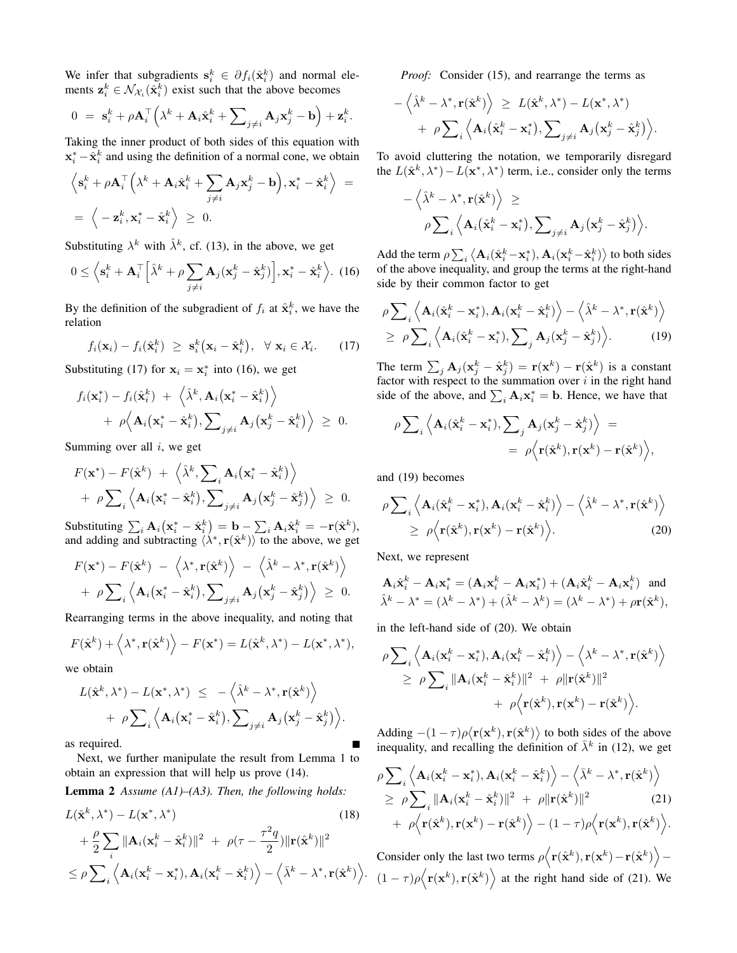We infer that subgradients  $s_i^k \in \partial f_i(\hat{x}_i^k)$  and normal elements  $z_i^k \in \mathcal{N}_{\mathcal{X}_i}(\hat{\mathbf{x}}_i^k)$  exist such that the above becomes

$$
0 = \mathbf{s}_i^k + \rho \mathbf{A}_i^\top \left( \lambda^k + \mathbf{A}_i \hat{\mathbf{x}}_i^k + \sum_{j \neq i} \mathbf{A}_j \mathbf{x}_j^k - \mathbf{b} \right) + \mathbf{z}_i^k.
$$

Taking the inner product of both sides of this equation with  $x_i^* - \hat{x}_i^k$  and using the definition of a normal cone, we obtain

$$
\left\langle \mathbf{s}_{i}^{k} + \rho \mathbf{A}_{i}^{\top} \left( \lambda^{k} + \mathbf{A}_{i} \hat{\mathbf{x}}_{i}^{k} + \sum_{j \neq i} \mathbf{A}_{j} \mathbf{x}_{j}^{k} - \mathbf{b} \right), \mathbf{x}_{i}^{*} - \hat{\mathbf{x}}_{i}^{k} \right\rangle = \n= \left\langle -\mathbf{z}_{i}^{k}, \mathbf{x}_{i}^{*} - \hat{\mathbf{x}}_{i}^{k} \right\rangle \geq 0.
$$

Substituting  $\lambda^k$  with  $\hat{\lambda}^k$ , cf. (13), in the above, we get

$$
0 \le \left\langle \mathbf{s}_i^k + \mathbf{A}_i^\top \left[ \hat{\lambda}^k + \rho \sum_{j \ne i} \mathbf{A}_j (\mathbf{x}_j^k - \hat{\mathbf{x}}_j^k) \right], \mathbf{x}_i^* - \hat{\mathbf{x}}_i^k \right\rangle. (16)
$$

By the definition of the subgradient of  $f_i$  at  $\hat{\mathbf{x}}_i^k$ , we have the relation

$$
f_i(\mathbf{x}_i) - f_i(\hat{\mathbf{x}}_i^k) \geq \mathbf{s}_i^k(\mathbf{x}_i - \hat{\mathbf{x}}_i^k), \ \forall \mathbf{x}_i \in \mathcal{X}_i. \qquad (17)
$$

Substituting (17) for  $x_i = x_i^*$  into (16), we get

$$
f_i(\mathbf{x}_i^*) - f_i(\hat{\mathbf{x}}_i^k) + \langle \hat{\lambda}^k, \mathbf{A}_i(\mathbf{x}_i^* - \hat{\mathbf{x}}_i^k) \rangle
$$
  
+  $\rho \langle \mathbf{A}_i(\mathbf{x}_i^* - \hat{\mathbf{x}}_i^k), \sum_{j \neq i} \mathbf{A}_j(\mathbf{x}_j^k - \hat{\mathbf{x}}_i^k) \rangle \geq 0.$ 

Summing over all  $i$ , we get

$$
F(\mathbf{x}^*) - F(\hat{\mathbf{x}}^k) + \langle \hat{\lambda}^k, \sum_i \mathbf{A}_i (\mathbf{x}_i^* - \hat{\mathbf{x}}_i^k) \rangle
$$
  
+  $\rho \sum_i \langle \mathbf{A}_i (\mathbf{x}_i^* - \hat{\mathbf{x}}_i^k), \sum_{j \neq i} \mathbf{A}_j (\mathbf{x}_j^k - \hat{\mathbf{x}}_j^k) \rangle \geq 0.$ 

Substituting  $\sum_i \mathbf{A}_i (\mathbf{x}^*_i - \hat{\mathbf{x}}^k_i) = \mathbf{b} - \sum_i \mathbf{A}_i \hat{\mathbf{x}}^k_i = -\mathbf{r}(\hat{\mathbf{x}}^k)$ , and adding and subtracting  $\langle \lambda^*, \mathbf{r}(\hat{\mathbf{x}}^k) \rangle$  to the above, we get

$$
F(\mathbf{x}^*) - F(\hat{\mathbf{x}}^k) - \langle \lambda^*, \mathbf{r}(\hat{\mathbf{x}}^k) \rangle - \langle \hat{\lambda}^k - \lambda^*, \mathbf{r}(\hat{\mathbf{x}}^k) \rangle + \rho \sum_i \langle \mathbf{A}_i(\mathbf{x}_i^* - \hat{\mathbf{x}}_i^k), \sum_{j \neq i} \mathbf{A}_j(\mathbf{x}_j^k - \hat{\mathbf{x}}_j^k) \rangle \geq 0.
$$

Rearranging terms in the above inequality, and noting that

$$
F(\hat{\mathbf{x}}^k) + \langle \lambda^*, \mathbf{r}(\hat{\mathbf{x}}^k) \rangle - F(\mathbf{x}^*) = L(\hat{\mathbf{x}}^k, \lambda^*) - L(\mathbf{x}^*, \lambda^*),
$$

we obtain

$$
L(\hat{\mathbf{x}}^k, \lambda^*) - L(\mathbf{x}^*, \lambda^*) \leq -\langle \hat{\lambda}^k - \lambda^*, \mathbf{r}(\hat{\mathbf{x}}^k) \rangle + \rho \sum_i \langle \mathbf{A}_i(\mathbf{x}_i^* - \hat{\mathbf{x}}_i^k), \sum_{j \neq i} \mathbf{A}_j(\mathbf{x}_j^k - \hat{\mathbf{x}}_j^k) \rangle.
$$

as required.

Next, we further manipulate the result from Lemma 1 to obtain an expression that will help us prove (14).

Lemma 2 *Assume (A1)–(A3). Then, the following holds:*

$$
L(\hat{\mathbf{x}}^k, \lambda^*) - L(\mathbf{x}^*, \lambda^*)
$$
\n
$$
+ \frac{\rho}{2} \sum_{i} \|\mathbf{A}_i(\mathbf{x}_i^k - \hat{\mathbf{x}}_i^k)\|^2 + \rho(\tau - \frac{\tau^2 q}{2})\|\mathbf{r}(\hat{\mathbf{x}}^k)\|^2
$$
\n
$$
\leq \rho \sum_{i} \left\langle \mathbf{A}_i(\mathbf{x}_i^k - \mathbf{x}_i^*), \mathbf{A}_i(\mathbf{x}_i^k - \hat{\mathbf{x}}_i^k) \right\rangle - \left\langle \bar{\lambda}^k - \lambda^*, \mathbf{r}(\hat{\mathbf{x}}^k) \right\rangle
$$
\n(18)

*Proof:* Consider (15), and rearrange the terms as

$$
- \langle \hat{\lambda}^k - \lambda^*, \mathbf{r}(\hat{\mathbf{x}}^k) \rangle \geq L(\hat{\mathbf{x}}^k, \lambda^*) - L(\mathbf{x}^*, \lambda^*)
$$
  
+  $\rho \sum_i \langle \mathbf{A}_i(\hat{\mathbf{x}}_i^k - \mathbf{x}_i^*), \sum_{j \neq i} \mathbf{A}_j(\mathbf{x}_j^k - \hat{\mathbf{x}}_j^k) \rangle$ .

To avoid cluttering the notation, we temporarily disregard the  $L(\hat{\mathbf{x}}^k, \lambda^*) - L(\mathbf{x}^*, \lambda^*)$  term, i.e., consider only the terms

$$
-\left<\hat{\lambda}^k-\lambda^*,\mathbf{r}(\hat{\mathbf{x}}^k)\right>\geq\\\rho\sum\nolimits_{i}\left<\mathbf{A}_i(\hat{\mathbf{x}}_i^k-\mathbf{x}_i^*),\sum\nolimits_{j\neq i}\mathbf{A}_j(\mathbf{x}_j^k-\hat{\mathbf{x}}_j^k)\right>.
$$

Add the term  $\rho \sum_i \left\langle \mathbf{A}_i(\hat{\mathbf{x}}_i^k - \mathbf{x}_i^*), \mathbf{A}_i(\mathbf{x}_i^k - \hat{\mathbf{x}}_i^k) \right\rangle$  to both sides of the above inequality, and group the terms at the right-hand side by their common factor to get

$$
\rho \sum_{i} \left\langle \mathbf{A}_{i}(\hat{\mathbf{x}}_{i}^{k} - \mathbf{x}_{i}^{*}), \mathbf{A}_{i}(\mathbf{x}_{i}^{k} - \hat{\mathbf{x}}_{i}^{k}) \right\rangle - \left\langle \hat{\lambda}^{k} - \lambda^{*}, \mathbf{r}(\hat{\mathbf{x}}^{k}) \right\rangle
$$
  
\n
$$
\geq \rho \sum_{i} \left\langle \mathbf{A}_{i}(\hat{\mathbf{x}}_{i}^{k} - \mathbf{x}_{i}^{*}), \sum_{j} \mathbf{A}_{j}(\mathbf{x}_{j}^{k} - \hat{\mathbf{x}}_{j}^{k}) \right\rangle.
$$
 (19)

The term  $\sum_j \mathbf{A}_j (\mathbf{x}_j^k - \hat{\mathbf{x}}_j^k) = \mathbf{r}(\mathbf{x}^k) - \mathbf{r}(\hat{\mathbf{x}}^k)$  is a constant factor with respect to the summation over  $i$  in the right hand side of the above, and  $\sum_i \mathbf{A}_i \mathbf{x}_i^* = \mathbf{b}$ . Hence, we have that

$$
\rho \sum_{i} \left\langle \mathbf{A}_{i}(\hat{\mathbf{x}}_{i}^{k} - \mathbf{x}_{i}^{*}), \sum_{j} \mathbf{A}_{j}(\mathbf{x}_{j}^{k} - \hat{\mathbf{x}}_{j}^{k}) \right\rangle = \\ = \rho \left\langle \mathbf{r}(\hat{\mathbf{x}}^{k}), \mathbf{r}(\mathbf{x}^{k}) - \mathbf{r}(\hat{\mathbf{x}}^{k}) \right\rangle,
$$

and (19) becomes

$$
\rho \sum_{i} \left\langle \mathbf{A}_{i}(\hat{\mathbf{x}}_{i}^{k} - \mathbf{x}_{i}^{*}), \mathbf{A}_{i}(\mathbf{x}_{i}^{k} - \hat{\mathbf{x}}_{i}^{k}) \right\rangle - \left\langle \hat{\lambda}^{k} - \lambda^{*}, \mathbf{r}(\hat{\mathbf{x}}^{k}) \right\rangle
$$
  
\n
$$
\geq \rho \left\langle \mathbf{r}(\hat{\mathbf{x}}^{k}), \mathbf{r}(\mathbf{x}^{k}) - \mathbf{r}(\hat{\mathbf{x}}^{k}) \right\rangle. \tag{20}
$$

Next, we represent

$$
\mathbf{A}_{i}\hat{\mathbf{x}}_{i}^{k} - \mathbf{A}_{i}\mathbf{x}_{i}^{*} = (\mathbf{A}_{i}\mathbf{x}_{i}^{k} - \mathbf{A}_{i}\mathbf{x}_{i}^{*}) + (\mathbf{A}_{i}\hat{\mathbf{x}}_{i}^{k} - \mathbf{A}_{i}\mathbf{x}_{i}^{k}) \text{ and}
$$
  

$$
\hat{\lambda}^{k} - \lambda^{*} = (\lambda^{k} - \lambda^{*}) + (\hat{\lambda}^{k} - \lambda^{k}) = (\lambda^{k} - \lambda^{*}) + \rho \mathbf{r}(\hat{\mathbf{x}}^{k}),
$$

in the left-hand side of (20). We obtain

$$
\rho \sum_i \left\langle \mathbf{A}_i(\mathbf{x}_i^k - \mathbf{x}_i^*), \mathbf{A}_i(\mathbf{x}_i^k - \hat{\mathbf{x}}_i^k) \right\rangle - \left\langle \lambda^k - \lambda^*, \mathbf{r}(\hat{\mathbf{x}}^k) \right\rangle \n\geq \left. \rho \sum_i \|\mathbf{A}_i(\mathbf{x}_i^k - \hat{\mathbf{x}}_i^k)\|^2 + \left. \rho \|\mathbf{r}(\hat{\mathbf{x}}^k)\|^2 \right. \n+ \left. \rho \left\langle \mathbf{r}(\hat{\mathbf{x}}^k), \mathbf{r}(\mathbf{x}^k) - \mathbf{r}(\hat{\mathbf{x}}^k) \right\rangle \right).
$$

Adding  $-(1 - \tau)\rho \langle \mathbf{r}(\mathbf{x}^k), \mathbf{r}(\hat{\mathbf{x}}^k) \rangle$  to both sides of the above inequality, and recalling the definition of  $\bar{\lambda}^k$  in (12), we get

$$
\rho \sum_{i} \left\langle \mathbf{A}_{i}(\mathbf{x}_{i}^{k} - \mathbf{x}_{i}^{*}), \mathbf{A}_{i}(\mathbf{x}_{i}^{k} - \hat{\mathbf{x}}_{i}^{k}) \right\rangle - \left\langle \bar{\lambda}^{k} - \lambda^{*}, \mathbf{r}(\hat{\mathbf{x}}^{k}) \right\rangle
$$
  
\n
$$
\geq \rho \sum_{i} \|\mathbf{A}_{i}(\mathbf{x}_{i}^{k} - \hat{\mathbf{x}}_{i}^{k})\|^{2} + \rho \|\mathbf{r}(\hat{\mathbf{x}}^{k})\|^{2}
$$
(21)  
\n
$$
+ \rho \left\langle \mathbf{r}(\hat{\mathbf{x}}^{k}), \mathbf{r}(\mathbf{x}^{k}) - \mathbf{r}(\hat{\mathbf{x}}^{k}) \right\rangle - (1 - \tau)\rho \left\langle \mathbf{r}(\mathbf{x}^{k}), \mathbf{r}(\hat{\mathbf{x}}^{k}) \right\rangle.
$$

 $\left\langle (1-\tau)\rho(\mathbf{r}(\mathbf{x}^k), \mathbf{r}(\hat{\mathbf{x}}^k)) \right\rangle$  at the right hand side of (21). We Consider only the last two terms  $\rho \langle {\bf r}(\hat{{\bf x}}^k),{\bf r}({\bf x}^k)-{\bf r}(\hat{{\bf x}}^k)\rangle -$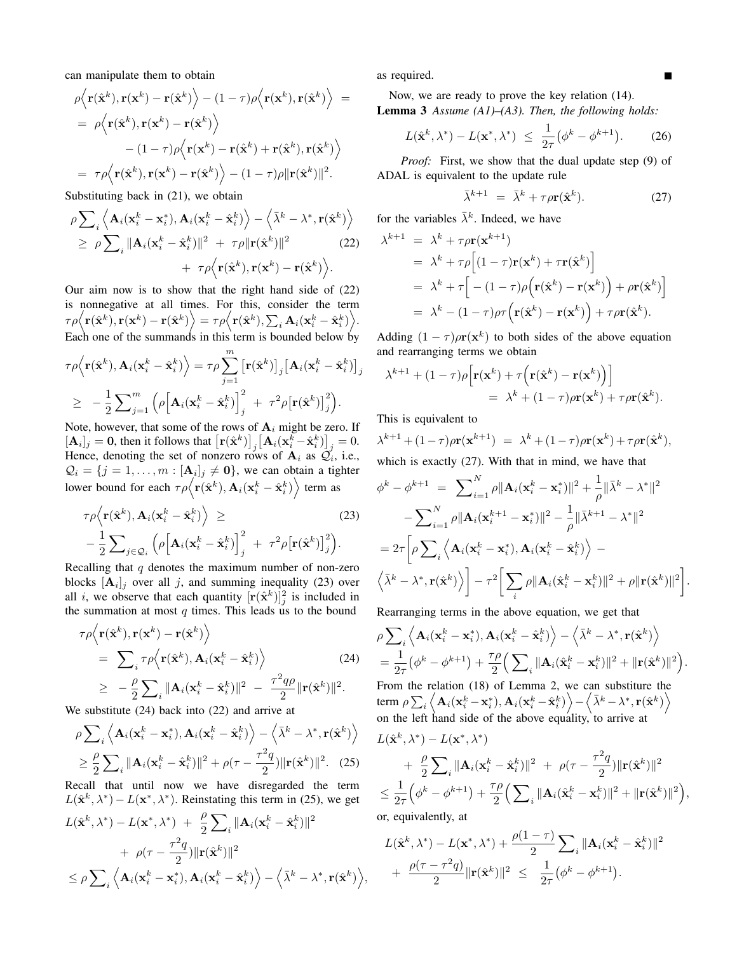can manipulate them to obtain

$$
\rho \Big\langle \mathbf{r}(\hat{\mathbf{x}}^k), \mathbf{r}(\mathbf{x}^k) - \mathbf{r}(\hat{\mathbf{x}}^k) \Big\rangle - (1 - \tau) \rho \Big\langle \mathbf{r}(\mathbf{x}^k), \mathbf{r}(\hat{\mathbf{x}}^k) \Big\rangle =
$$
\n
$$
= \rho \Big\langle \mathbf{r}(\hat{\mathbf{x}}^k), \mathbf{r}(\mathbf{x}^k) - \mathbf{r}(\hat{\mathbf{x}}^k) \Big\rangle
$$
\n
$$
- (1 - \tau) \rho \Big\langle \mathbf{r}(\mathbf{x}^k) - \mathbf{r}(\hat{\mathbf{x}}^k) + \mathbf{r}(\hat{\mathbf{x}}^k), \mathbf{r}(\hat{\mathbf{x}}^k) \Big\rangle
$$
\n
$$
= \tau \rho \Big\langle \mathbf{r}(\hat{\mathbf{x}}^k), \mathbf{r}(\mathbf{x}^k) - \mathbf{r}(\hat{\mathbf{x}}^k) \Big\rangle - (1 - \tau) \rho \| \mathbf{r}(\hat{\mathbf{x}}^k) \|^2.
$$

Substituting back in (21), we obtain

$$
\rho \sum_{i} \left\langle \mathbf{A}_{i}(\mathbf{x}_{i}^{k} - \mathbf{x}_{i}^{*}), \mathbf{A}_{i}(\mathbf{x}_{i}^{k} - \hat{\mathbf{x}}_{i}^{k}) \right\rangle - \left\langle \bar{\lambda}^{k} - \lambda^{*}, \mathbf{r}(\hat{\mathbf{x}}^{k}) \right\rangle
$$
  
\n
$$
\geq \rho \sum_{i} \|\mathbf{A}_{i}(\mathbf{x}_{i}^{k} - \hat{\mathbf{x}}_{i}^{k})\|^{2} + \tau \rho \|\mathbf{r}(\hat{\mathbf{x}}^{k})\|^{2}
$$
(22)  
\n
$$
+ \tau \rho \left\langle \mathbf{r}(\hat{\mathbf{x}}^{k}), \mathbf{r}(\mathbf{x}^{k}) - \mathbf{r}(\hat{\mathbf{x}}^{k}) \right\rangle.
$$

Our aim now is to show that the right hand side of (22) is nonnegative at all times. For this, consider the term  $\tau\rho\Big\langle {\bf r}(\hat{\bf x}^k), {\bf r}({\bf x}^k) - {\bf r}(\hat{\bf x}^k)\Big\rangle = \tau\rho\Big\langle {\bf r}(\hat{\bf x}^k), \sum_i{\bf A}_i({\bf x}^k_i - \hat{\bf x}^k_i)\Big\rangle.$ Each one of the summands in this term is bounded below by

$$
\tau \rho \Big\langle \mathbf{r}(\hat{\mathbf{x}}^k), \mathbf{A}_i(\mathbf{x}_i^k - \hat{\mathbf{x}}_i^k) \Big\rangle = \tau \rho \sum_{j=1}^m \big[ \mathbf{r}(\hat{\mathbf{x}}^k) \big]_j \big[ \mathbf{A}_i(\mathbf{x}_i^k - \hat{\mathbf{x}}_i^k) \big]_j
$$
  
\n
$$
\geq -\frac{1}{2} \sum_{j=1}^m \Big( \rho \Big[ \mathbf{A}_i(\mathbf{x}_i^k - \hat{\mathbf{x}}_i^k) \Big]_j^2 + \tau^2 \rho \big[ \mathbf{r}(\hat{\mathbf{x}}^k) \big]_j^2 \Big).
$$

Note, however, that some of the rows of  $A_i$  might be zero. If  $[\mathbf{A}_i]_j = \mathbf{0}$ , then it follows that  $\left[ \mathbf{r}(\hat{\mathbf{x}}^k) \right]_j \left[ \mathbf{A}_i (\mathbf{x}_i^k - \hat{\mathbf{x}}_i^k) \right]_j = 0$ . Hence, denoting the set of nonzero rows of  $A_i$  as  $\mathcal{Q}_i$ , i.e.,  $\mathcal{Q}_i = \{j = 1, \dots, m : [\mathbf{A}_i]_j \neq \mathbf{0}\},\$  we can obtain a tighter lower bound for each  $\tau \rho \Big\langle {\bf r}(\hat {\bf x}^k), {\bf A}_i ({\bf x}^k_i - \hat {\bf x}^k_i) \Big\rangle$  term as

$$
\tau \rho \Big\langle \mathbf{r}(\hat{\mathbf{x}}^k), \mathbf{A}_i(\mathbf{x}_i^k - \hat{\mathbf{x}}_i^k) \Big\rangle \geq
$$
\n
$$
-\frac{1}{2} \sum_{j \in \mathcal{Q}_i} \Big( \rho \Big[ \mathbf{A}_i(\mathbf{x}_i^k - \hat{\mathbf{x}}_i^k) \Big]_j^2 + \tau^2 \rho \big[ \mathbf{r}(\hat{\mathbf{x}}^k) \big]_j^2 \Big). \tag{23}
$$

Recalling that  $q$  denotes the maximum number of non-zero blocks  $[\mathbf{A}_i]_j$  over all j, and summing inequality (23) over all *i*, we observe that each quantity  $[r(\hat{\mathbf{x}}^k)]_j^2$  is included in the summation at most  $q$  times. This leads us to the bound

$$
\tau \rho \Big\langle \mathbf{r}(\hat{\mathbf{x}}^k), \mathbf{r}(\mathbf{x}^k) - \mathbf{r}(\hat{\mathbf{x}}^k) \Big\rangle
$$
  
\n
$$
= \sum_i \tau \rho \Big\langle \mathbf{r}(\hat{\mathbf{x}}^k), \mathbf{A}_i(\mathbf{x}_i^k - \hat{\mathbf{x}}_i^k) \Big\rangle
$$
 (24)  
\n
$$
\geq -\frac{\rho}{2} \sum_i \|\mathbf{A}_i(\mathbf{x}_i^k - \hat{\mathbf{x}}_i^k)\|^2 - \frac{\tau^2 q \rho}{2} \|\mathbf{r}(\hat{\mathbf{x}}^k)\|^2.
$$

We substitute (24) back into (22) and arrive at

$$
\rho \sum_{i} \left\langle \mathbf{A}_{i}(\mathbf{x}_{i}^{k} - \mathbf{x}_{i}^{*}), \mathbf{A}_{i}(\mathbf{x}_{i}^{k} - \hat{\mathbf{x}}_{i}^{k}) \right\rangle - \left\langle \bar{\lambda}^{k} - \lambda^{*}, \mathbf{r}(\hat{\mathbf{x}}^{k}) \right\rangle
$$
  
\n
$$
\geq \frac{\rho}{2} \sum_{i} ||\mathbf{A}_{i}(\mathbf{x}_{i}^{k} - \hat{\mathbf{x}}_{i}^{k})||^{2} + \rho(\tau - \frac{\tau^{2}q}{2}) ||\mathbf{r}(\hat{\mathbf{x}}^{k})||^{2}. \quad (25)
$$

Recall that until now we have disregarded the term  $L(\hat{\mathbf{x}}^k, \lambda^*) - L(\mathbf{x}^*, \lambda^*)$ . Reinstating this term in (25), we get

$$
L(\hat{\mathbf{x}}^k, \lambda^*) - L(\mathbf{x}^*, \lambda^*) + \frac{\rho}{2} \sum_i \|\mathbf{A}_i(\mathbf{x}_i^k - \hat{\mathbf{x}}_i^k)\|^2
$$
  
+  $\rho(\tau - \frac{\tau^2 q}{2}) \|\mathbf{r}(\hat{\mathbf{x}}^k)\|^2$   
 $\leq \rho \sum_i \left\langle \mathbf{A}_i(\mathbf{x}_i^k - \mathbf{x}_i^*), \mathbf{A}_i(\mathbf{x}_i^k - \hat{\mathbf{x}}_i^k) \right\rangle - \left\langle \bar{\lambda}^k - \lambda^*, \mathbf{r}(\hat{\mathbf{x}}^k) \right\rangle,$ 

as required.

Now, we are ready to prove the key relation (14). Lemma 3 *Assume (A1)–(A3). Then, the following holds:*

$$
L(\hat{\mathbf{x}}^k, \lambda^*) - L(\mathbf{x}^*, \lambda^*) \le \frac{1}{2\tau} (\phi^k - \phi^{k+1}). \tag{26}
$$

*Proof:* First, we show that the dual update step (9) of ADAL is equivalent to the update rule

$$
\bar{\lambda}^{k+1} = \bar{\lambda}^k + \tau \rho \mathbf{r}(\hat{\mathbf{x}}^k). \tag{27}
$$

for the variables  $\bar{\lambda}^k$ . Indeed, we have

$$
\lambda^{k+1} = \lambda^k + \tau \rho \mathbf{r}(\mathbf{x}^{k+1})
$$
  
=  $\lambda^k + \tau \rho [(1-\tau)\mathbf{r}(\mathbf{x}^k) + \tau \mathbf{r}(\hat{\mathbf{x}}^k)]$   
=  $\lambda^k + \tau [ -(1-\tau)\rho (\mathbf{r}(\hat{\mathbf{x}}^k) - \mathbf{r}(\mathbf{x}^k)) + \rho \mathbf{r}(\hat{\mathbf{x}}^k)]$   
=  $\lambda^k - (1-\tau)\rho \tau (\mathbf{r}(\hat{\mathbf{x}}^k) - \mathbf{r}(\mathbf{x}^k)) + \tau \rho \mathbf{r}(\hat{\mathbf{x}}^k).$ 

Adding  $(1 - \tau)\rho r(x^k)$  to both sides of the above equation and rearranging terms we obtain

$$
\lambda^{k+1} + (1 - \tau)\rho \Big[ \mathbf{r}(\mathbf{x}^k) + \tau \Big( \mathbf{r}(\hat{\mathbf{x}}^k) - \mathbf{r}(\mathbf{x}^k) \Big) \Big] \n= \lambda^k + (1 - \tau)\rho \mathbf{r}(\mathbf{x}^k) + \tau \rho \mathbf{r}(\hat{\mathbf{x}}^k).
$$

This is equivalent to

$$
\lambda^{k+1} + (1 - \tau)\rho \mathbf{r}(\mathbf{x}^{k+1}) = \lambda^k + (1 - \tau)\rho \mathbf{r}(\mathbf{x}^k) + \tau \rho \mathbf{r}(\hat{\mathbf{x}}^k),
$$

which is exactly (27). With that in mind, we have that

$$
\phi^k - \phi^{k+1} = \sum_{i=1}^N \rho \|\mathbf{A}_i(\mathbf{x}_i^k - \mathbf{x}_i^*)\|^2 + \frac{1}{\rho} \|\bar{\lambda}^k - \lambda^*\|^2
$$

$$
- \sum_{i=1}^N \rho \|\mathbf{A}_i(\mathbf{x}_i^{k+1} - \mathbf{x}_i^*)\|^2 - \frac{1}{\rho} \|\bar{\lambda}^{k+1} - \lambda^*\|^2
$$

$$
= 2\tau \left[ \rho \sum_i \left\langle \mathbf{A}_i(\mathbf{x}_i^k - \mathbf{x}_i^*), \mathbf{A}_i(\mathbf{x}_i^k - \hat{\mathbf{x}}_i^k) \right\rangle - \left\langle \bar{\lambda}^k - \lambda^*, \mathbf{r}(\hat{\mathbf{x}}^k) \right\rangle \right] - \tau^2 \left[ \sum_i \rho \|\mathbf{A}_i(\hat{\mathbf{x}}_i^k - \mathbf{x}_i^k)\|^2 + \rho \|\mathbf{r}(\hat{\mathbf{x}}^k)\|^2 \right].
$$

Rearranging terms in the above equation, we get that

$$
\rho \sum_{i} \left\langle \mathbf{A}_{i}(\mathbf{x}_{i}^{k}-\mathbf{x}_{i}^{*}), \mathbf{A}_{i}(\mathbf{x}_{i}^{k}-\hat{\mathbf{x}}_{i}^{k}) \right\rangle - \left\langle \bar{\lambda}^{k} - \lambda^{*}, \mathbf{r}(\hat{\mathbf{x}}^{k}) \right\rangle \n= \frac{1}{2\tau} \left( \phi^{k} - \phi^{k+1} \right) + \frac{\tau \rho}{2} \left( \sum_{i} \|\mathbf{A}_{i}(\hat{\mathbf{x}}_{i}^{k}-\mathbf{x}_{i}^{k})\|^{2} + \|\mathbf{r}(\hat{\mathbf{x}}^{k})\|^{2} \right).
$$
\nFrom the relation (18) of Lemma 2, we can substitute the term  $\rho \sum_{i} \left\langle \mathbf{A}_{i}(\mathbf{x}_{i}^{k}-\mathbf{x}_{i}^{*}), \mathbf{A}_{i}(\mathbf{x}_{i}^{k}-\hat{\mathbf{x}}_{i}^{k}) \right\rangle - \left\langle \bar{\lambda}^{k} - \lambda^{*}, \mathbf{r}(\hat{\mathbf{x}}^{k}) \right\rangle$ 

on the left hand side of the above equality, to arrive at

$$
L(\hat{\mathbf{x}}^k, \lambda^*) - L(\mathbf{x}^*, \lambda^*)
$$
  
+  $\frac{\rho}{2} \sum_i ||\mathbf{A}_i(\mathbf{x}_i^k - \hat{\mathbf{x}}_i^k)||^2 + \rho(\tau - \frac{\tau^2 q}{2}) ||\mathbf{r}(\hat{\mathbf{x}}^k)||^2$   
 $\leq \frac{1}{2\tau} (\phi^k - \phi^{k+1}) + \frac{\tau \rho}{2} (\sum_i ||\mathbf{A}_i(\hat{\mathbf{x}}_i^k - \mathbf{x}_i^k)||^2 + ||\mathbf{r}(\hat{\mathbf{x}}^k)||^2)$   
or, equivalently, at

,

 $L(\hat{\mathbf{x}}^k, \lambda^*) - L(\mathbf{x}^*, \lambda^*) + \frac{\rho(1-\tau)}{2}$  $\sum\nolimits_i\|\mathbf{A}_i(\mathbf{x}^k_i-\hat{\mathbf{x}}^k_i)\|^2$ +  $\frac{\rho(\tau - \tau^2 q)}{2}$  $\frac{(-\tau^2 q)}{2} \| \mathbf{r}(\hat{\mathbf{x}}^k) \|^2 \ \le \ \ \frac{1}{2\pi}$  $\frac{1}{2\tau}(\phi^k - \phi^{k+1}).$